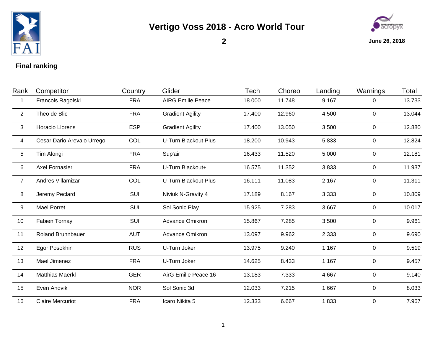

## **Vertigo Voss 2018 - Acro World Tour**



**2**

**June 26, 2018**

## **Final ranking**

| Rank            | Competitor                 | Country    | Glider                      | Tech   | Choreo | Landing | Warnings       | Total  |
|-----------------|----------------------------|------------|-----------------------------|--------|--------|---------|----------------|--------|
| 1               | Francois Ragolski          | <b>FRA</b> | <b>AIRG Emilie Peace</b>    | 18.000 | 11.748 | 9.167   | 0              | 13.733 |
| 2               | Theo de Blic               | <b>FRA</b> | <b>Gradient Agility</b>     | 17.400 | 12.960 | 4.500   | $\overline{0}$ | 13.044 |
| 3               | <b>Horacio Llorens</b>     | <b>ESP</b> | <b>Gradient Agility</b>     | 17.400 | 13.050 | 3.500   | 0              | 12.880 |
| 4               | Cesar Dario Arevalo Urrego | COL        | <b>U-Turn Blackout Plus</b> | 18.200 | 10.943 | 5.833   | 0              | 12.824 |
| $5\phantom{.0}$ | Tim Alongi                 | <b>FRA</b> | Sup'air                     | 16.433 | 11.520 | 5.000   | 0              | 12.181 |
| 6               | <b>Axel Fornasier</b>      | <b>FRA</b> | U-Turn Blackout+            | 16.575 | 11.352 | 3.833   | 0              | 11.937 |
| $\overline{7}$  | Andres Villamizar          | COL        | <b>U-Turn Blackout Plus</b> | 16.111 | 11.083 | 2.167   | $\mathbf 0$    | 11.311 |
| 8               | Jeremy Peclard             | SUI        | Niviuk N-Gravity 4          | 17.189 | 8.167  | 3.333   | $\mathbf 0$    | 10.809 |
| 9               | <b>Mael Porret</b>         | SUI        | Sol Sonic Play              | 15.925 | 7.283  | 3.667   | $\mathbf{0}$   | 10.017 |
| 10              | <b>Fabien Tornay</b>       | SUI        | Advance Omikron             | 15.867 | 7.285  | 3.500   | 0              | 9.961  |
| 11              | <b>Roland Brunnbauer</b>   | <b>AUT</b> | Advance Omikron             | 13.097 | 9.962  | 2.333   | $\mathbf 0$    | 9.690  |
| 12              | Egor Posokhin              | <b>RUS</b> | U-Turn Joker                | 13.975 | 9.240  | 1.167   | $\overline{0}$ | 9.519  |
| 13              | Mael Jimenez               | <b>FRA</b> | U-Turn Joker                | 14.625 | 8.433  | 1.167   | 0              | 9.457  |
| 14              | <b>Matthias Maerkl</b>     | <b>GER</b> | AirG Emilie Peace 16        | 13.183 | 7.333  | 4.667   | $\mathbf 0$    | 9.140  |
| 15              | Even Andvik                | <b>NOR</b> | Sol Sonic 3d                | 12.033 | 7.215  | 1.667   | $\mathbf 0$    | 8.033  |
| 16              | <b>Claire Mercuriot</b>    | <b>FRA</b> | Icaro Nikita 5              | 12.333 | 6.667  | 1.833   | $\overline{0}$ | 7.967  |